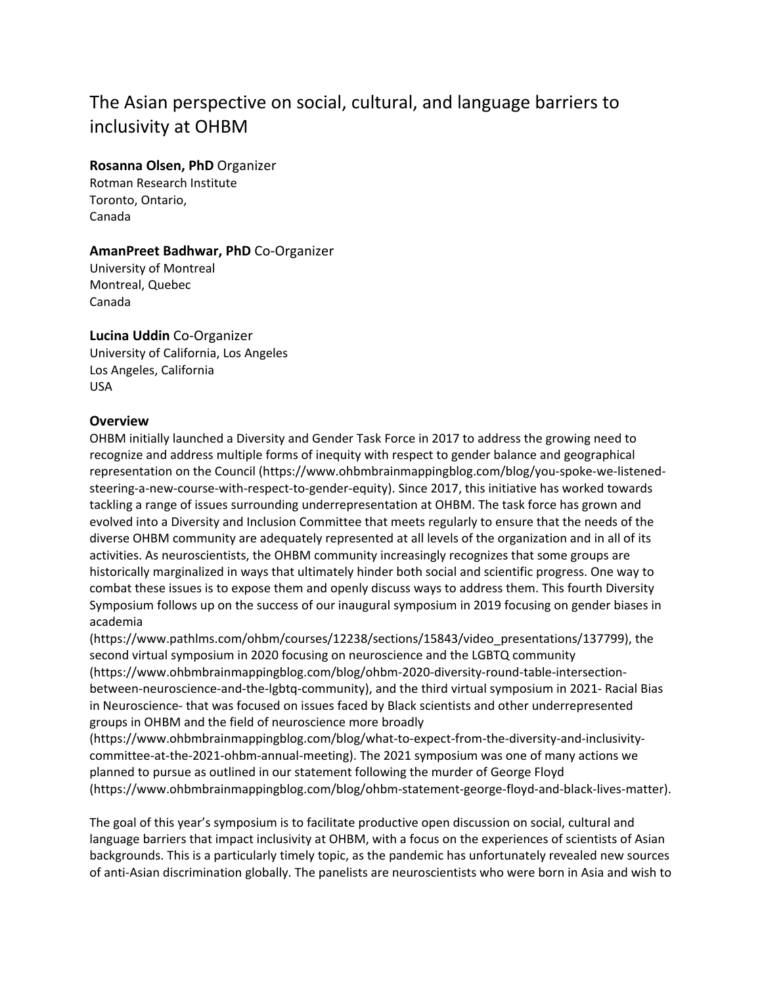# The Asian perspective on social, cultural, and language barriers to inclusivity at OHBM

#### **Rosanna Olsen, PhD** Organizer

Rotman Research Institute Toronto, Ontario, Canada

#### **AmanPreet Badhwar, PhD** Co-Organizer

University of Montreal Montreal, Quebec Canada

## **Lucina Uddin** Co-Organizer

University of California, Los Angeles Los Angeles, California USA

#### **Overview**

OHBM initially launched a Diversity and Gender Task Force in 2017 to address the growing need to recognize and address multiple forms of inequity with respect to gender balance and geographical representation on the Council (https://www.ohbmbrainmappingblog.com/blog/you-spoke-we-listenedsteering-a-new-course-with-respect-to-gender-equity). Since 2017, this initiative has worked towards tackling a range of issues surrounding underrepresentation at OHBM. The task force has grown and evolved into a Diversity and Inclusion Committee that meets regularly to ensure that the needs of the diverse OHBM community are adequately represented at all levels of the organization and in all of its activities. As neuroscientists, the OHBM community increasingly recognizes that some groups are historically marginalized in ways that ultimately hinder both social and scientific progress. One way to combat these issues is to expose them and openly discuss ways to address them. This fourth Diversity Symposium follows up on the success of our inaugural symposium in 2019 focusing on gender biases in academia

(https://www.pathlms.com/ohbm/courses/12238/sections/15843/video\_presentations/137799), the second virtual symposium in 2020 focusing on neuroscience and the LGBTQ community (https://www.ohbmbrainmappingblog.com/blog/ohbm-2020-diversity-round-table-intersectionbetween-neuroscience-and-the-lgbtq-community), and the third virtual symposium in 2021- Racial Bias in Neuroscience- that was focused on issues faced by Black scientists and other underrepresented groups in OHBM and the field of neuroscience more broadly

(https://www.ohbmbrainmappingblog.com/blog/what-to-expect-from-the-diversity-and-inclusivitycommittee-at-the-2021-ohbm-annual-meeting). The 2021 symposium was one of many actions we planned to pursue as outlined in our statement following the murder of George Floyd (https://www.ohbmbrainmappingblog.com/blog/ohbm-statement-george-floyd-and-black-lives-matter).

The goal of this year's symposium is to facilitate productive open discussion on social, cultural and language barriers that impact inclusivity at OHBM, with a focus on the experiences of scientists of Asian backgrounds. This is a particularly timely topic, as the pandemic has unfortunately revealed new sources of anti-Asian discrimination globally. The panelists are neuroscientists who were born in Asia and wish to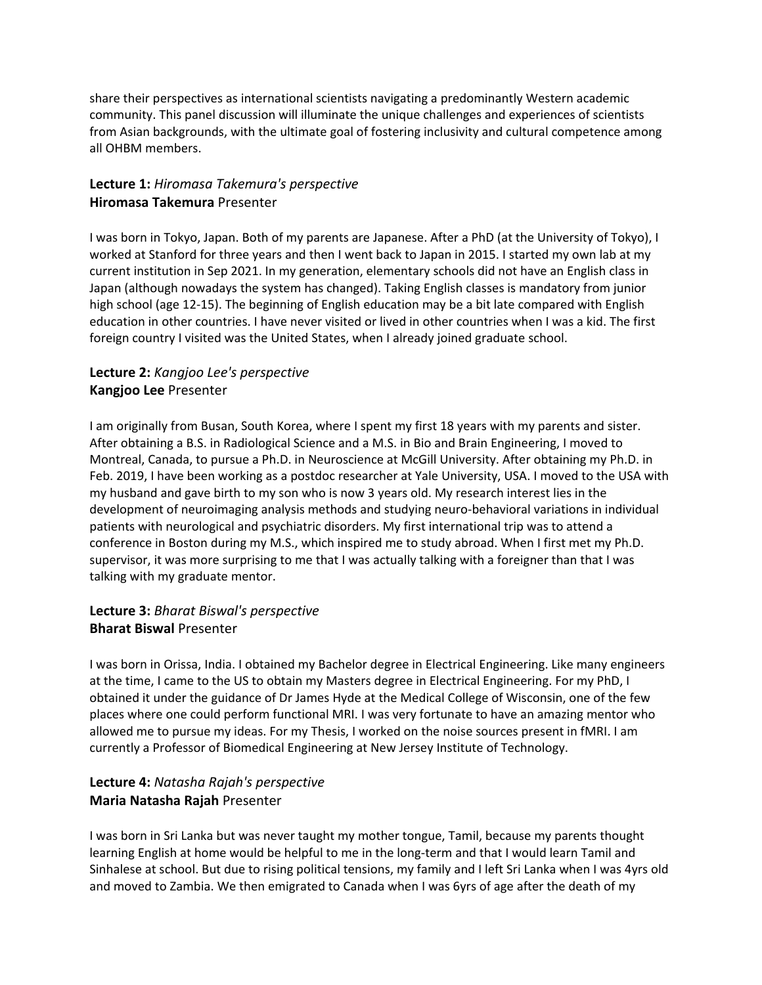share their perspectives as international scientists navigating a predominantly Western academic community. This panel discussion will illuminate the unique challenges and experiences of scientists from Asian backgrounds, with the ultimate goal of fostering inclusivity and cultural competence among all OHBM members.

## **Lecture 1:** *Hiromasa Takemura's perspective* **Hiromasa Takemura** Presenter

I was born in Tokyo, Japan. Both of my parents are Japanese. After a PhD (at the University of Tokyo), I worked at Stanford for three years and then I went back to Japan in 2015. I started my own lab at my current institution in Sep 2021. In my generation, elementary schools did not have an English class in Japan (although nowadays the system has changed). Taking English classes is mandatory from junior high school (age 12-15). The beginning of English education may be a bit late compared with English education in other countries. I have never visited or lived in other countries when I was a kid. The first foreign country I visited was the United States, when I already joined graduate school.

# **Lecture 2:** *Kangjoo Lee's perspective* **Kangjoo Lee** Presenter

I am originally from Busan, South Korea, where I spent my first 18 years with my parents and sister. After obtaining a B.S. in Radiological Science and a M.S. in Bio and Brain Engineering, I moved to Montreal, Canada, to pursue a Ph.D. in Neuroscience at McGill University. After obtaining my Ph.D. in Feb. 2019, I have been working as a postdoc researcher at Yale University, USA. I moved to the USA with my husband and gave birth to my son who is now 3 years old. My research interest lies in the development of neuroimaging analysis methods and studying neuro-behavioral variations in individual patients with neurological and psychiatric disorders. My first international trip was to attend a conference in Boston during my M.S., which inspired me to study abroad. When I first met my Ph.D. supervisor, it was more surprising to me that I was actually talking with a foreigner than that I was talking with my graduate mentor.

## **Lecture 3:** *Bharat Biswal's perspective* **Bharat Biswal** Presenter

I was born in Orissa, India. I obtained my Bachelor degree in Electrical Engineering. Like many engineers at the time, I came to the US to obtain my Masters degree in Electrical Engineering. For my PhD, I obtained it under the guidance of Dr James Hyde at the Medical College of Wisconsin, one of the few places where one could perform functional MRI. I was very fortunate to have an amazing mentor who allowed me to pursue my ideas. For my Thesis, I worked on the noise sources present in fMRI. I am currently a Professor of Biomedical Engineering at New Jersey Institute of Technology.

## **Lecture 4:** *Natasha Rajah's perspective* **Maria Natasha Rajah** Presenter

I was born in Sri Lanka but was never taught my mother tongue, Tamil, because my parents thought learning English at home would be helpful to me in the long-term and that I would learn Tamil and Sinhalese at school. But due to rising political tensions, my family and I left Sri Lanka when I was 4yrs old and moved to Zambia. We then emigrated to Canada when I was 6yrs of age after the death of my